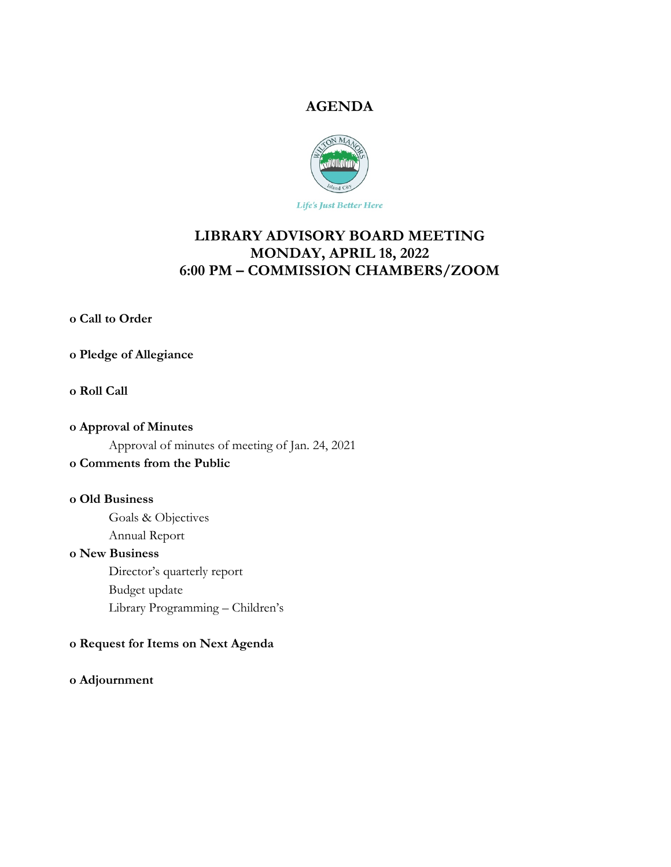## **AGENDA**



Life's Just Better Here

# **LIBRARY ADVISORY BOARD MEETING MONDAY, APRIL 18, 2022 6:00 PM – COMMISSION CHAMBERS/ZOOM**

**o Call to Order** 

## **o Pledge of Allegiance**

#### **o Roll Call**

# **o Approval of Minutes**  Approval of minutes of meeting of Jan. 24, 2021

# **o Comments from the Public**

## **o Old Business**

 Goals & Objectives Annual Report

#### **o New Business**

 Director's quarterly report Budget update Library Programming – Children's

## **o Request for Items on Next Agenda**

## **o Adjournment**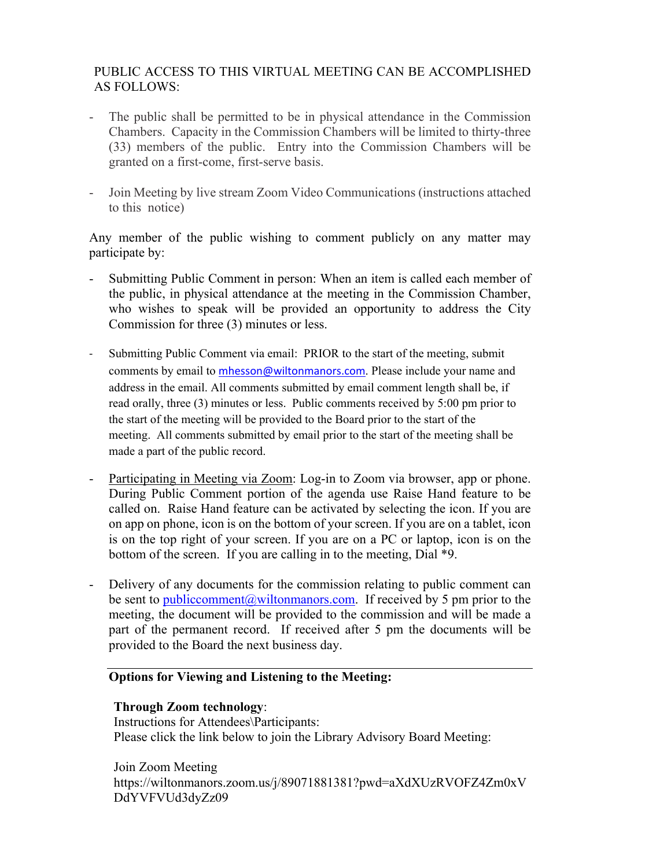## PUBLIC ACCESS TO THIS VIRTUAL MEETING CAN BE ACCOMPLISHED AS FOLLOWS:

- The public shall be permitted to be in physical attendance in the Commission Chambers. Capacity in the Commission Chambers will be limited to thirty-three (33) members of the public. Entry into the Commission Chambers will be granted on a first-come, first-serve basis.
- Join Meeting by live stream Zoom Video Communications (instructions attached to this notice)

Any member of the public wishing to comment publicly on any matter may participate by:

- Submitting Public Comment in person: When an item is called each member of the public, in physical attendance at the meeting in the Commission Chamber, who wishes to speak will be provided an opportunity to address the City Commission for three (3) minutes or less.
- Submitting Public Comment via email: PRIOR to the start of the meeting, submit comments by email to mhesson@wiltonmanors.com. Please include your name and address in the email. All comments submitted by email comment length shall be, if read orally, three (3) minutes or less. Public comments received by 5:00 pm prior to the start of the meeting will be provided to the Board prior to the start of the meeting. All comments submitted by email prior to the start of the meeting shall be made a part of the public record.
- Participating in Meeting via Zoom: Log-in to Zoom via browser, app or phone. During Public Comment portion of the agenda use Raise Hand feature to be called on. Raise Hand feature can be activated by selecting the icon. If you are on app on phone, icon is on the bottom of your screen. If you are on a tablet, icon is on the top right of your screen. If you are on a PC or laptop, icon is on the bottom of the screen. If you are calling in to the meeting, Dial \*9.
- Delivery of any documents for the commission relating to public comment can be sent to public comment  $(a)$  wiltonmanors.com. If received by 5 pm prior to the meeting, the document will be provided to the commission and will be made a part of the permanent record. If received after 5 pm the documents will be provided to the Board the next business day.

## **Options for Viewing and Listening to the Meeting:**

## **Through Zoom technology**:

Instructions for Attendees\Participants: Please click the link below to join the Library Advisory Board Meeting:

Join Zoom Meeting https://wiltonmanors.zoom.us/j/89071881381?pwd=aXdXUzRVOFZ4Zm0xV DdYVFVUd3dyZz09